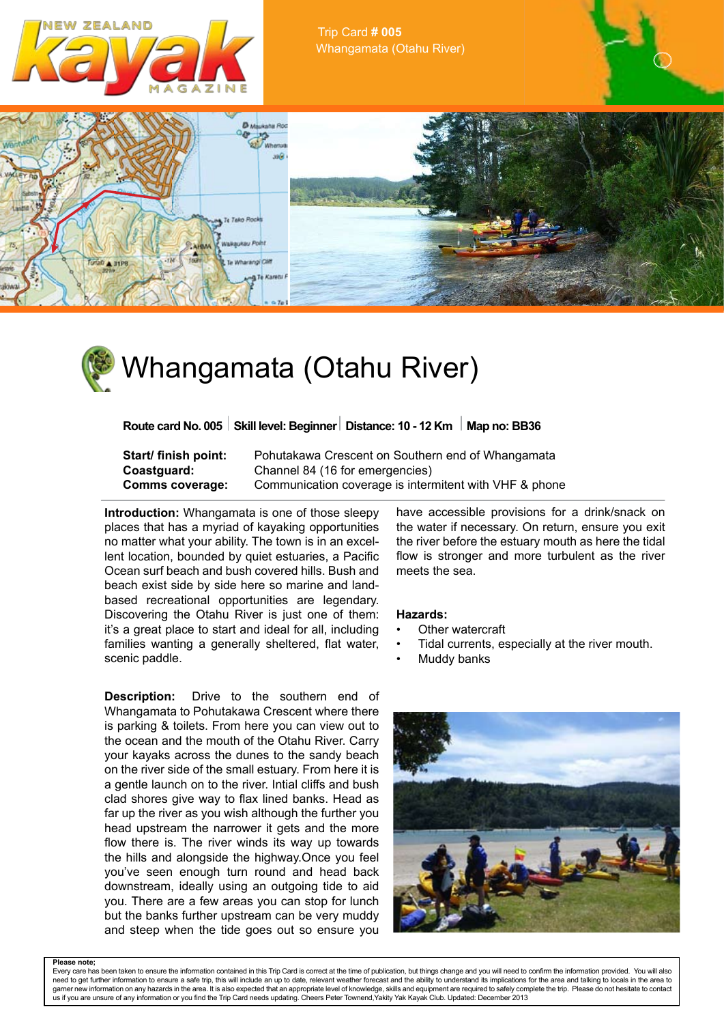

Trip Card **# 005** Whangamata (Otahu River)



## Whangamata (Otahu River)

where  $\mathcal{P}_\text{c}$  and  $\mathcal{P}_\text{c}$  and  $\mathcal{P}_\text{c}$  and  $\mathcal{P}_\text{c}$  and  $\mathcal{P}_\text{c}$  and  $\mathcal{P}_\text{c}$ **Route card No. 005 Skill level: Beginner Distance: 10 - 12 Km | Map no: BB36** 

**Start/ finish point:** Pohutakawa Crescent on Southern end of Whangamata **Coastguard:** Channel 84 (16 for emergencies) **Comms coverage:** Communication coverage is intermitent with VHF & phone

**Introduction:** Whangamata is one of those sleepy places that has a myriad of kayaking opportunities no matter what your ability. The town is in an excellent location, bounded by quiet estuaries, a Pacific Ocean surf beach and bush covered hills. Bush and beach exist side by side here so marine and landbased recreational opportunities are legendary. Discovering the Otahu River is just one of them: it's a great place to start and ideal for all, including families wanting a generally sheltered, flat water, scenic paddle.

**Description:** Drive to the southern end of Whangamata to Pohutakawa Crescent where there is parking & toilets. From here you can view out to the ocean and the mouth of the Otahu River. Carry your kayaks across the dunes to the sandy beach on the river side of the small estuary. From here it is a gentle launch on to the river. Intial cliffs and bush clad shores give way to flax lined banks. Head as far up the river as you wish although the further you head upstream the narrower it gets and the more flow there is. The river winds its way up towards the hills and alongside the highway.Once you feel you've seen enough turn round and head back downstream, ideally using an outgoing tide to aid you. There are a few areas you can stop for lunch but the banks further upstream can be very muddy and steep when the tide goes out so ensure you have accessible provisions for a drink/snack on the water if necessary. On return, ensure you exit the river before the estuary mouth as here the tidal flow is stronger and more turbulent as the river meets the sea.

## **Hazards:**

- Other watercraft
- Tidal currents, especially at the river mouth.
- **Muddy banks**



**Please note;** Every care has been taken to ensure the information contained in this Trip Card is correct at the time of publication, but things change and you will need to confirm the information provided. You will also need to get further information to ensure a safe trip, this will include an up to date, relevant weather forecast and the ability to understand its implications for the area and talking to locals in the area to w information on any hazards in the area. It is also expected that an appropriate level of knowledge, skills and equipment are required to safely complete the trip. Please do not hesitate to contact us if you are unsure of any information or you find the Trip Card needs updating. Cheers Peter Townend,Yakity Yak Kayak Club. Updated: December 2013